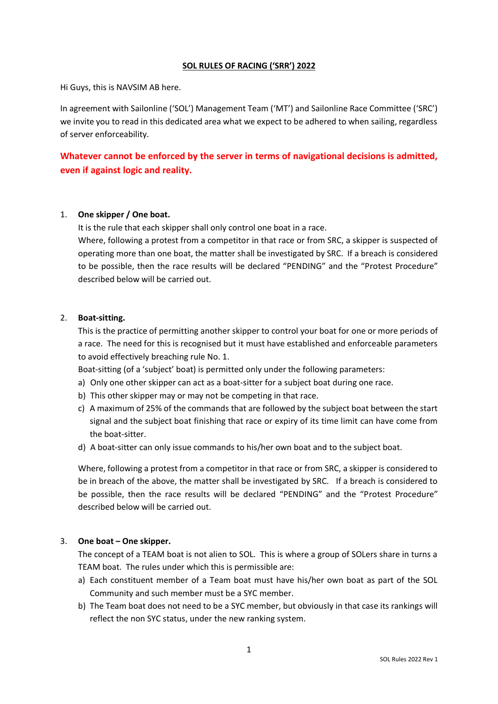# **SOL RULES OF RACING ('SRR') 2022**

Hi Guys, this is NAVSIM AB here.

In agreement with Sailonline ('SOL') Management Team ('MT') and Sailonline Race Committee ('SRC') we invite you to read in this dedicated area what we expect to be adhered to when sailing, regardless of server enforceability.

# **Whatever cannot be enforced by the server in terms of navigational decisions is admitted, even if against logic and reality.**

# 1. **One skipper / One boat.**

It is the rule that each skipper shall only control one boat in a race.

Where, following a protest from a competitor in that race or from SRC, a skipper is suspected of operating more than one boat, the matter shall be investigated by SRC. If a breach is considered to be possible, then the race results will be declared "PENDING" and the "Protest Procedure" described below will be carried out.

#### 2. **Boat-sitting.**

This is the practice of permitting another skipper to control your boat for one or more periods of a race. The need for this is recognised but it must have established and enforceable parameters to avoid effectively breaching rule No. 1.

Boat-sitting (of a 'subject' boat) is permitted only under the following parameters:

- a) Only one other skipper can act as a boat-sitter for a subject boat during one race.
- b) This other skipper may or may not be competing in that race.
- c) A maximum of 25% of the commands that are followed by the subject boat between the start signal and the subject boat finishing that race or expiry of its time limit can have come from the boat-sitter.
- d) A boat-sitter can only issue commands to his/her own boat and to the subject boat.

Where, following a protest from a competitor in that race or from SRC, a skipper is considered to be in breach of the above, the matter shall be investigated by SRC. If a breach is considered to be possible, then the race results will be declared "PENDING" and the "Protest Procedure" described below will be carried out.

# 3. **One boat – One skipper.**

The concept of a TEAM boat is not alien to SOL. This is where a group of SOLers share in turns a TEAM boat. The rules under which this is permissible are:

- a) Each constituent member of a Team boat must have his/her own boat as part of the SOL Community and such member must be a SYC member.
- b) The Team boat does not need to be a SYC member, but obviously in that case its rankings will reflect the non SYC status, under the new ranking system.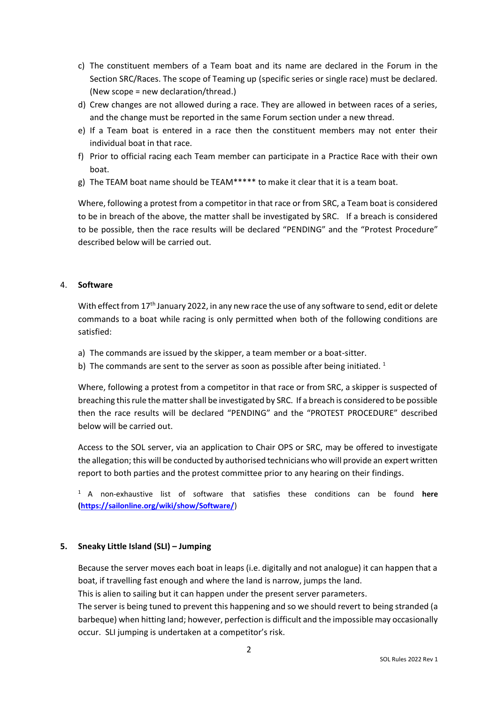- c) The constituent members of a Team boat and its name are declared in the Forum in the Section SRC/Races. The scope of Teaming up (specific series or single race) must be declared. (New scope = new declaration/thread.)
- d) Crew changes are not allowed during a race. They are allowed in between races of a series, and the change must be reported in the same Forum section under a new thread.
- e) If a Team boat is entered in a race then the constituent members may not enter their individual boat in that race.
- f) Prior to official racing each Team member can participate in a Practice Race with their own boat.
- g) The TEAM boat name should be TEAM\*\*\*\*\* to make it clear that it is a team boat.

Where, following a protest from a competitor in that race or from SRC, a Team boat is considered to be in breach of the above, the matter shall be investigated by SRC. If a breach is considered to be possible, then the race results will be declared "PENDING" and the "Protest Procedure" described below will be carried out.

# 4. **Software**

With effect from 17<sup>th</sup> January 2022, in any new race the use of any software to send, edit or delete commands to a boat while racing is only permitted when both of the following conditions are satisfied:

- a) The commands are issued by the skipper, a team member or a boat-sitter.
- b) The commands are sent to the server as soon as possible after being initiated.<sup>1</sup>

Where, following a protest from a competitor in that race or from SRC, a skipper is suspected of breaching this rule the matter shall be investigated by SRC. If a breach is considered to be possible then the race results will be declared "PENDING" and the "PROTEST PROCEDURE" described below will be carried out.

Access to the SOL server, via an application to Chair OPS or SRC, may be offered to investigate the allegation; this will be conducted by authorised technicians who will provide an expert written report to both parties and the protest committee prior to any hearing on their findings.

<sup>1</sup>A non-exhaustive list of software that satisfies these conditions can be found **here [\(https://sailonline.org/wiki/show/Software/](https://sailonline.org/wiki/show/Software/)**)

# **5. Sneaky Little Island (SLI) – Jumping**

Because the server moves each boat in leaps (i.e. digitally and not analogue) it can happen that a boat, if travelling fast enough and where the land is narrow, jumps the land.

This is alien to sailing but it can happen under the present server parameters.

The server is being tuned to prevent this happening and so we should revert to being stranded (a barbeque) when hitting land; however, perfection is difficult and the impossible may occasionally occur. SLI jumping is undertaken at a competitor's risk.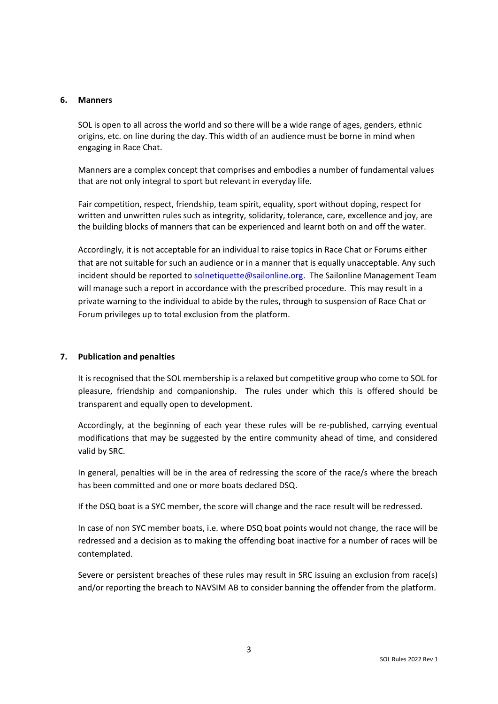#### **6. Manners**

SOL is open to all across the world and so there will be a wide range of ages, genders, ethnic origins, etc. on line during the day. This width of an audience must be borne in mind when engaging in Race Chat.

Manners are a complex concept that comprises and embodies a number of fundamental values that are not only integral to sport but relevant in everyday life.

Fair competition, respect, friendship, team spirit, equality, sport without doping, respect for written and unwritten rules such as integrity, solidarity, tolerance, care, excellence and joy, are the building blocks of manners that can be experienced and learnt both on and off the water.

Accordingly, it is not acceptable for an individual to raise topics in Race Chat or Forums either that are not suitable for such an audience or in a manner that is equally unacceptable. Any such incident should be reported to [solnetiquette@sailonline.org.](mailto:solnetiquette@sailonline.org) The Sailonline Management Team will manage such a report in accordance with the prescribed procedure. This may result in a private warning to the individual to abide by the rules, through to suspension of Race Chat or Forum privileges up to total exclusion from the platform.

# **7. Publication and penalties**

It is recognised that the SOL membership is a relaxed but competitive group who come to SOL for pleasure, friendship and companionship. The rules under which this is offered should be transparent and equally open to development.

Accordingly, at the beginning of each year these rules will be re-published, carrying eventual modifications that may be suggested by the entire community ahead of time, and considered valid by SRC.

In general, penalties will be in the area of redressing the score of the race/s where the breach has been committed and one or more boats declared DSQ.

If the DSQ boat is a SYC member, the score will change and the race result will be redressed.

In case of non SYC member boats, i.e. where DSQ boat points would not change, the race will be redressed and a decision as to making the offending boat inactive for a number of races will be contemplated.

Severe or persistent breaches of these rules may result in SRC issuing an exclusion from race(s) and/or reporting the breach to NAVSIM AB to consider banning the offender from the platform.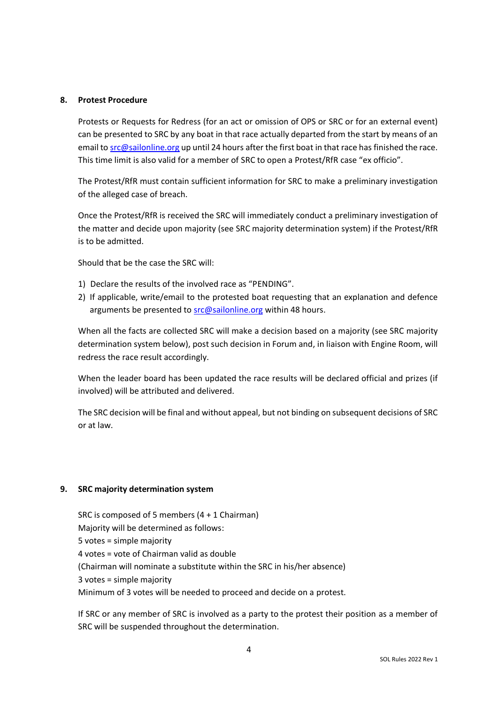#### **8. Protest Procedure**

Protests or Requests for Redress (for an act or omission of OPS or SRC or for an external event) can be presented to SRC by any boat in that race actually departed from the start by means of an email t[o src@sailonline.org](mailto:src@sailonline.org) up until 24 hours after the first boat in that race has finished the race. This time limit is also valid for a member of SRC to open a Protest/RfR case "ex officio".

The Protest/RfR must contain sufficient information for SRC to make a preliminary investigation of the alleged case of breach.

Once the Protest/RfR is received the SRC will immediately conduct a preliminary investigation of the matter and decide upon majority (see SRC majority determination system) if the Protest/RfR is to be admitted.

Should that be the case the SRC will:

- 1) Declare the results of the involved race as "PENDING".
- 2) If applicable, write/email to the protested boat requesting that an explanation and defence arguments be presented to **src@sailonline.org** within 48 hours.

When all the facts are collected SRC will make a decision based on a majority (see SRC majority determination system below), post such decision in Forum and, in liaison with Engine Room, will redress the race result accordingly.

When the leader board has been updated the race results will be declared official and prizes (if involved) will be attributed and delivered.

The SRC decision will be final and without appeal, but not binding on subsequent decisions of SRC or at law.

# **9. SRC majority determination system**

SRC is composed of 5 members (4 + 1 Chairman) Majority will be determined as follows: 5 votes = simple majority 4 votes = vote of Chairman valid as double (Chairman will nominate a substitute within the SRC in his/her absence) 3 votes = simple majority Minimum of 3 votes will be needed to proceed and decide on a protest.

If SRC or any member of SRC is involved as a party to the protest their position as a member of SRC will be suspended throughout the determination.